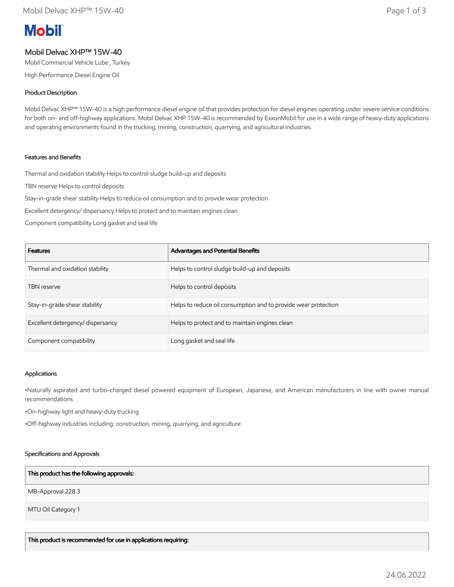# **Mobil**

# Mobil Delvac XHP™ 15W-40

Mobil Commercial Vehicle Lube , Turkey

High Performance Diesel Engine Oil

# Product Description

Mobil Delvac XHP™ 15W-40 is a high performance diesel engine oil that provides protection for diesel engines operating under severe service conditions for both on- and off-highway applications. Mobil Delvac XHP 15W-40 is recommended by ExxonMobil for use in a wide range of heavy-duty applications and operating environments found in the trucking, mining, construction, quarrying, and agricultural industries.

## Features and Benefits

Thermal and oxidation stability Helps to control sludge build-up and deposits

TBN reserve Helps to control deposits

Stay-in-grade shear stability Helps to reduce oil consumption and to provide wear protection

Excellent detergency/ dispersancy Helps to protect and to maintain engines clean

Component compatibility Long gasket and seal life

| <b>Features</b>                  | Advantages and Potential Benefits                              |
|----------------------------------|----------------------------------------------------------------|
| Thermal and oxidation stability  | Helps to control sludge build-up and deposits                  |
| <b>TBN</b> reserve               | Helps to control deposits                                      |
| Stay-in-grade shear stability    | Helps to reduce oil consumption and to provide wear protection |
| Excellent detergency/dispersancy | Helps to protect and to maintain engines clean                 |
| Component compatibility          | Long gasket and seal life                                      |

#### Applications

•Naturally aspirated and turbo-charged diesel powered equipment of European, Japanese, and American manufacturers in line with owner manual recommendations

•On-highway light and heavy-duty trucking

•Off-highway industries including: construction, mining, quarrying, and agriculture

#### Specifications and Approvals

#### This product has the following approvals:

MB-Approval 228.3

MTU Oil Category 1

This product is recommended for use in applications requiring: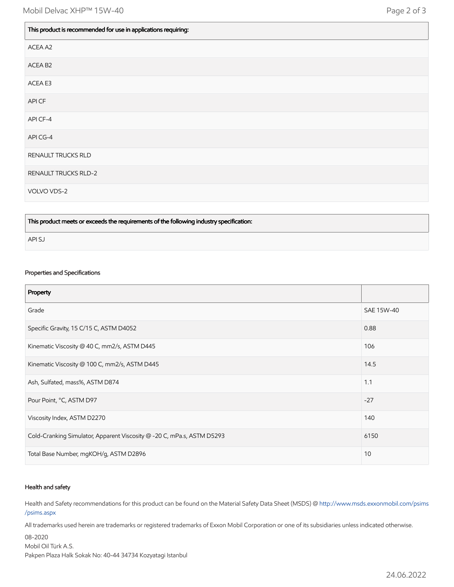| This product is recommended for use in applications requiring: |  |
|----------------------------------------------------------------|--|
| ACEA A2                                                        |  |
| ACEA B <sub>2</sub>                                            |  |
| ACEA E3                                                        |  |
| API CF                                                         |  |
| API CF-4                                                       |  |
| API CG-4                                                       |  |
| RENAULT TRUCKS RLD                                             |  |
| RENAULT TRUCKS RLD-2                                           |  |
| VOLVO VDS-2                                                    |  |

This product meets or exceeds the requirements of the following industry specification:

API SJ

# Properties and Specifications

| Property                                                               |            |
|------------------------------------------------------------------------|------------|
| Grade                                                                  | SAE 15W-40 |
| Specific Gravity, 15 C/15 C, ASTM D4052                                | 0.88       |
| Kinematic Viscosity @ 40 C, mm2/s, ASTM D445                           | 106        |
| Kinematic Viscosity @ 100 C, mm2/s, ASTM D445                          | 14.5       |
| Ash, Sulfated, mass%, ASTM D874                                        | 1.1        |
| Pour Point, °C, ASTM D97                                               | $-27$      |
| Viscosity Index, ASTM D2270                                            | 140        |
| Cold-Cranking Simulator, Apparent Viscosity @ -20 C, mPa.s, ASTM D5293 | 6150       |
| Total Base Number, mgKOH/g, ASTM D2896                                 | 10         |

#### Health and safety

Health and Safety recommendations for this product can be found on the Material Safety Data Sheet (MSDS) @ [http://www.msds.exxonmobil.com/psims](http://www.msds.exxonmobil.com/psims/psims.aspx) /psims.aspx

All trademarks used herein are trademarks or registered trademarks of Exxon Mobil Corporation or one of its subsidiaries unless indicated otherwise.

08-2020 Mobil Oil Türk A.S. Pakpen Plaza Halk Sokak No: 40-44 34734 Kozyatagi Istanbul